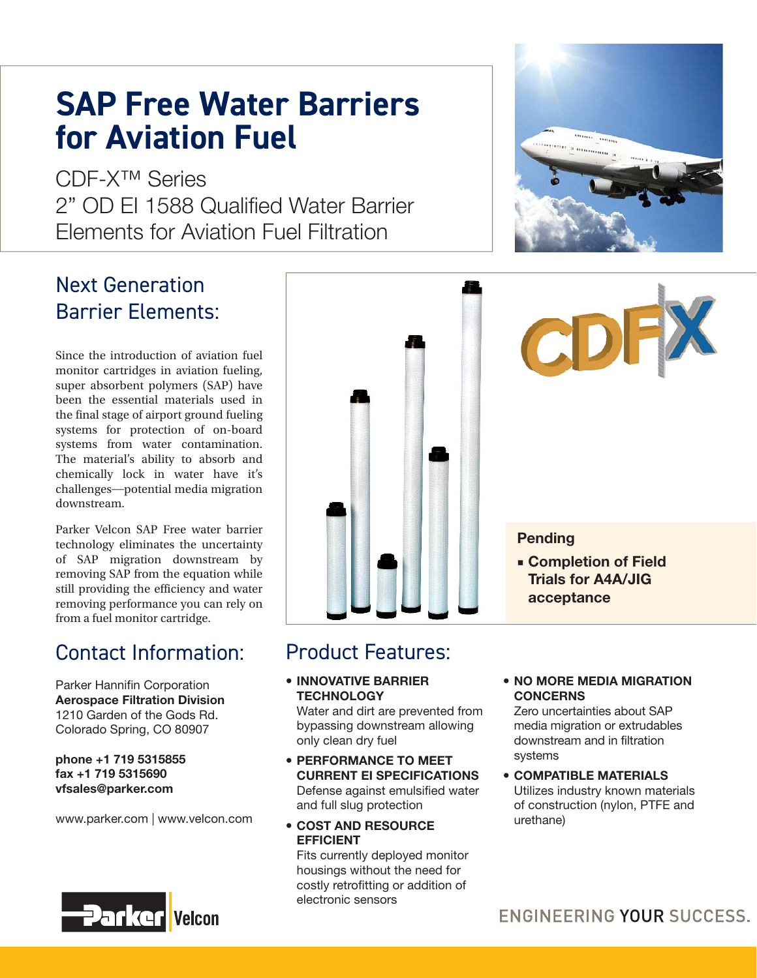# **SAP Free Water Barriers for Aviation Fuel**

CDF-X™ Series 2" OD FL 1588 Qualified Water Barrier Elements for Aviation Fuel Filtration

### Next Generation Barrier Elements:

Since the introduction of aviation fuel monitor cartridges in aviation fueling, super absorbent polymers (SAP) have been the essential materials used in the final stage of airport ground fueling systems for protection of on-board systems from water contamination. The material's ability to absorb and chemically lock in water have it's challenges―potential media migration downstream.

Parker Velcon SAP Free water barrier technology eliminates the uncertainty of SAP migration downstream by removing SAP from the equation while still providing the efficiency and water removing performance you can rely on from a fuel monitor cartridge.

## Contact Information:

Parker Hannifin Corporation **Aerospace Filtration Division** 1210 Garden of the Gods Rd. Colorado Spring, CO 80907

#### **phone +1 719 5315855 fax +1 719 5315690 vfsales@parker.com**

www.parker.com | www.velcon.com





### Product Features:

 **INNOVATIVE BARRIER TECHNOLOGY**

Water and dirt are prevented from bypassing downstream allowing only clean dry fuel

- **PERFORMANCE TO MEET CURRENT EI SPECIFICATIONS** Defense against emulsified water and full slug protection
- **COST AND RESOURCE EFFICIENT**

Fits currently deployed monitor housings without the need for costly retrofitting or addition of electronic sensors

#### **NO MORE MEDIA MIGRATION CONCERNS**

Zero uncertainties about SAP media migration or extrudables downstream and in filtration systems

 **COMPATIBLE MATERIALS** Utilizes industry known materials of construction (nylon, PTFE and urethane)